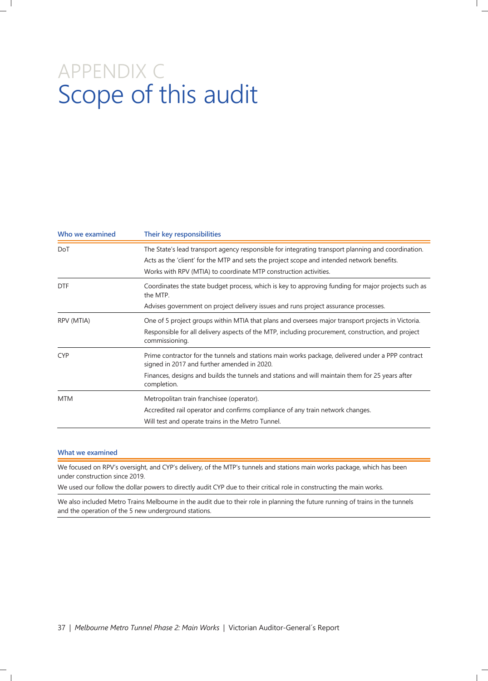# APPENDIX C Scope of this audit

| Who we examined | Their key responsibilities<br>The State's lead transport agency responsible for integrating transport planning and coordination.<br>Acts as the 'client' for the MTP and sets the project scope and intended network benefits.<br>Works with RPV (MTIA) to coordinate MTP construction activities. |  |
|-----------------|----------------------------------------------------------------------------------------------------------------------------------------------------------------------------------------------------------------------------------------------------------------------------------------------------|--|
| DoT             |                                                                                                                                                                                                                                                                                                    |  |
| <b>DTF</b>      | Coordinates the state budget process, which is key to approving funding for major projects such as<br>the MTP.<br>Advises government on project delivery issues and runs project assurance processes.                                                                                              |  |
| RPV (MTIA)      | One of 5 project groups within MTIA that plans and oversees major transport projects in Victoria.<br>Responsible for all delivery aspects of the MTP, including procurement, construction, and project<br>commissioning.                                                                           |  |
| <b>CYP</b>      | Prime contractor for the tunnels and stations main works package, delivered under a PPP contract<br>signed in 2017 and further amended in 2020.<br>Finances, designs and builds the tunnels and stations and will maintain them for 25 years after<br>completion.                                  |  |
| <b>MTM</b>      | Metropolitan train franchisee (operator).<br>Accredited rail operator and confirms compliance of any train network changes.<br>Will test and operate trains in the Metro Tunnel.                                                                                                                   |  |

#### **What we examined**

We focused on RPV's oversight, and CYP's delivery, of the MTP's tunnels and stations main works package, which has been under construction since 2019.

We used our follow the dollar powers to directly audit CYP due to their critical role in constructing the main works.

We also included Metro Trains Melbourne in the audit due to their role in planning the future running of trains in the tunnels and the operation of the 5 new underground stations.